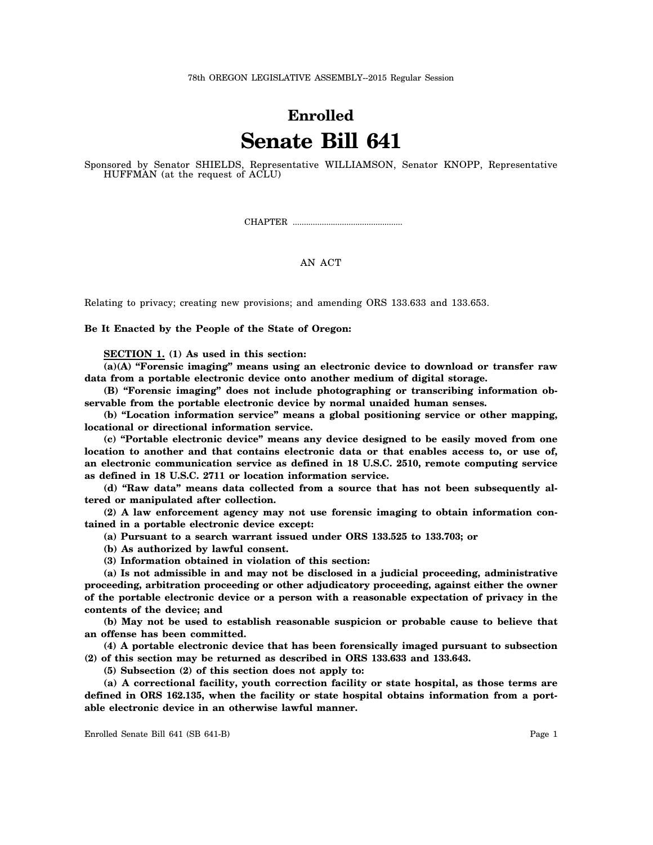## **Enrolled Senate Bill 641**

Sponsored by Senator SHIELDS, Representative WILLIAMSON, Senator KNOPP, Representative HUFFMAN (at the request of ACLU)

CHAPTER .................................................

## AN ACT

Relating to privacy; creating new provisions; and amending ORS 133.633 and 133.653.

**Be It Enacted by the People of the State of Oregon:**

**SECTION 1. (1) As used in this section:**

**(a)(A) "Forensic imaging" means using an electronic device to download or transfer raw data from a portable electronic device onto another medium of digital storage.**

**(B) "Forensic imaging" does not include photographing or transcribing information observable from the portable electronic device by normal unaided human senses.**

**(b) "Location information service" means a global positioning service or other mapping, locational or directional information service.**

**(c) "Portable electronic device" means any device designed to be easily moved from one location to another and that contains electronic data or that enables access to, or use of, an electronic communication service as defined in 18 U.S.C. 2510, remote computing service as defined in 18 U.S.C. 2711 or location information service.**

**(d) "Raw data" means data collected from a source that has not been subsequently altered or manipulated after collection.**

**(2) A law enforcement agency may not use forensic imaging to obtain information contained in a portable electronic device except:**

**(a) Pursuant to a search warrant issued under ORS 133.525 to 133.703; or**

**(b) As authorized by lawful consent.**

**(3) Information obtained in violation of this section:**

**(a) Is not admissible in and may not be disclosed in a judicial proceeding, administrative proceeding, arbitration proceeding or other adjudicatory proceeding, against either the owner of the portable electronic device or a person with a reasonable expectation of privacy in the contents of the device; and**

**(b) May not be used to establish reasonable suspicion or probable cause to believe that an offense has been committed.**

**(4) A portable electronic device that has been forensically imaged pursuant to subsection (2) of this section may be returned as described in ORS 133.633 and 133.643.**

**(5) Subsection (2) of this section does not apply to:**

**(a) A correctional facility, youth correction facility or state hospital, as those terms are defined in ORS 162.135, when the facility or state hospital obtains information from a portable electronic device in an otherwise lawful manner.**

Enrolled Senate Bill 641 (SB 641-B) Page 1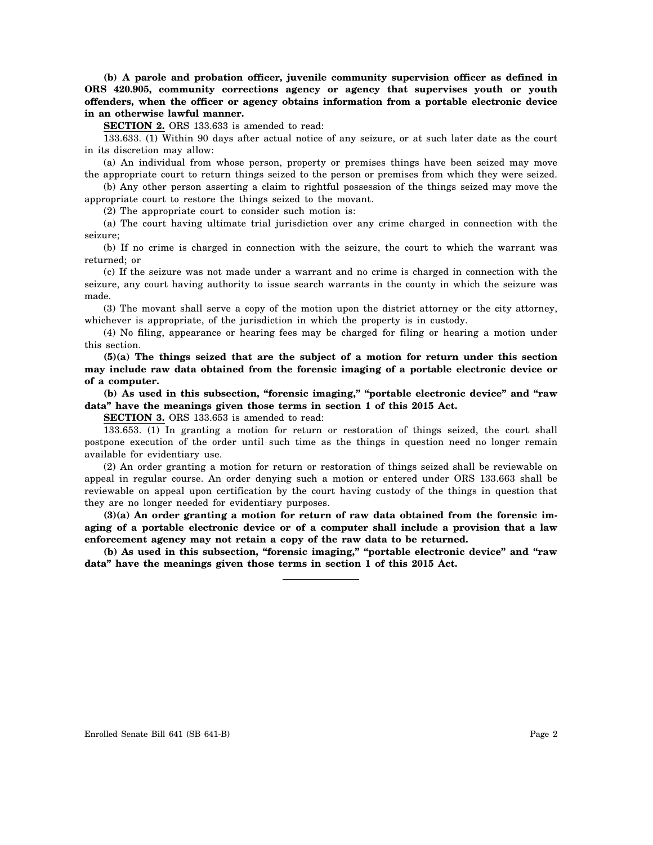**(b) A parole and probation officer, juvenile community supervision officer as defined in ORS 420.905, community corrections agency or agency that supervises youth or youth offenders, when the officer or agency obtains information from a portable electronic device in an otherwise lawful manner.**

**SECTION 2.** ORS 133.633 is amended to read:

133.633. (1) Within 90 days after actual notice of any seizure, or at such later date as the court in its discretion may allow:

(a) An individual from whose person, property or premises things have been seized may move the appropriate court to return things seized to the person or premises from which they were seized.

(b) Any other person asserting a claim to rightful possession of the things seized may move the appropriate court to restore the things seized to the movant.

(2) The appropriate court to consider such motion is:

(a) The court having ultimate trial jurisdiction over any crime charged in connection with the seizure;

(b) If no crime is charged in connection with the seizure, the court to which the warrant was returned; or

(c) If the seizure was not made under a warrant and no crime is charged in connection with the seizure, any court having authority to issue search warrants in the county in which the seizure was made.

(3) The movant shall serve a copy of the motion upon the district attorney or the city attorney, whichever is appropriate, of the jurisdiction in which the property is in custody.

(4) No filing, appearance or hearing fees may be charged for filing or hearing a motion under this section.

**(5)(a) The things seized that are the subject of a motion for return under this section may include raw data obtained from the forensic imaging of a portable electronic device or of a computer.**

**(b) As used in this subsection, "forensic imaging," "portable electronic device" and "raw data" have the meanings given those terms in section 1 of this 2015 Act.**

**SECTION 3.** ORS 133.653 is amended to read:

133.653. (1) In granting a motion for return or restoration of things seized, the court shall postpone execution of the order until such time as the things in question need no longer remain available for evidentiary use.

(2) An order granting a motion for return or restoration of things seized shall be reviewable on appeal in regular course. An order denying such a motion or entered under ORS 133.663 shall be reviewable on appeal upon certification by the court having custody of the things in question that they are no longer needed for evidentiary purposes.

**(3)(a) An order granting a motion for return of raw data obtained from the forensic imaging of a portable electronic device or of a computer shall include a provision that a law enforcement agency may not retain a copy of the raw data to be returned.**

**(b) As used in this subsection, "forensic imaging," "portable electronic device" and "raw data" have the meanings given those terms in section 1 of this 2015 Act.**